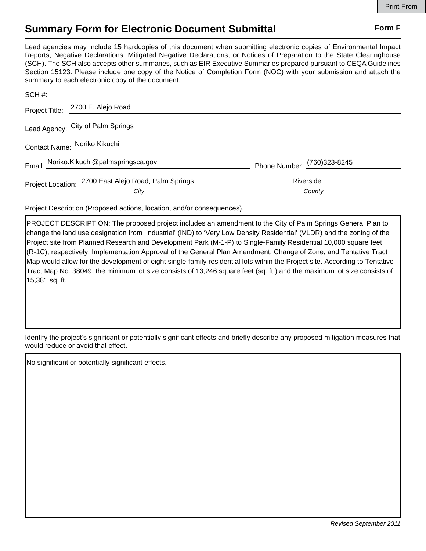## **Summary Form for Electronic Document Submittal Form F Form F**

Lead agencies may include 15 hardcopies of this document when submitting electronic copies of Environmental Impact Reports, Negative Declarations, Mitigated Negative Declarations, or Notices of Preparation to the State Clearinghouse (SCH). The SCH also accepts other summaries, such as EIR Executive Summaries prepared pursuant to CEQA Guidelines Section 15123. Please include one copy of the Notice of Completion Form (NOC) with your submission and attach the summary to each electronic copy of the document.

|                                   | Project Title: 2700 E. Alejo Road                    |                             |
|-----------------------------------|------------------------------------------------------|-----------------------------|
| Lead Agency: City of Palm Springs |                                                      |                             |
| Contact Name: Noriko Kikuchi      |                                                      |                             |
|                                   | Email: Noriko.Kikuchi@palmspringsca.gov              | Phone Number: (760)323-8245 |
|                                   | Project Location: 2700 East Alejo Road, Palm Springs | Riverside                   |
|                                   | City                                                 | County                      |

Project Description (Proposed actions, location, and/or consequences).

PROJECT DESCRIPTION: The proposed project includes an amendment to the City of Palm Springs General Plan to change the land use designation from 'Industrial' (IND) to 'Very Low Density Residential' (VLDR) and the zoning of the Project site from Planned Research and Development Park (M-1-P) to Single-Family Residential 10,000 square feet (R-1C), respectively. Implementation Approval of the General Plan Amendment, Change of Zone, and Tentative Tract Map would allow for the development of eight single-family residential lots within the Project site. According to Tentative Tract Map No. 38049, the minimum lot size consists of 13,246 square feet (sq. ft.) and the maximum lot size consists of 15,381 sq. ft.

Identify the project's significant or potentially significant effects and briefly describe any proposed mitigation measures that would reduce or avoid that effect.

No significant or potentially significant effects.